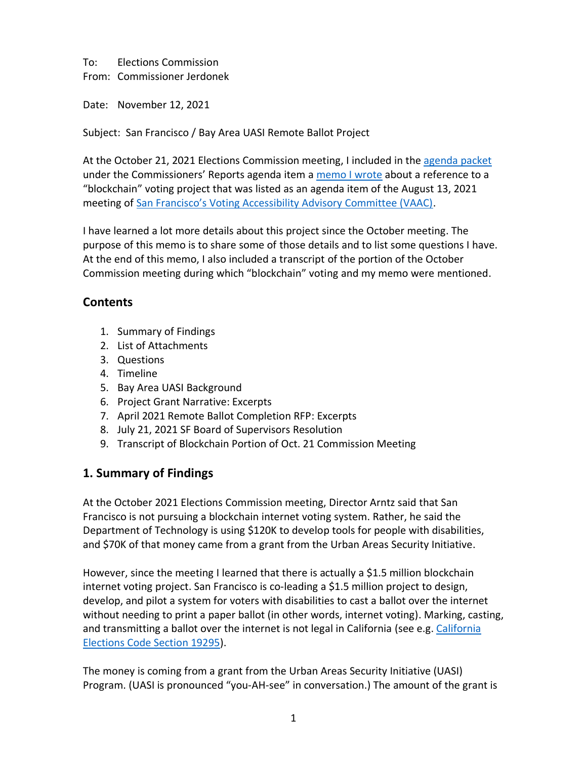To: Elections Commission

From: Commissioner Jerdonek

Date: November 12, 2021

Subject: San Francisco / Bay Area UASI Remote Ballot Project

At the October 21, 2021 Elections Commission meeting, I included in the [agenda packet](https://sfgov.org/electionscommission/commission-agenda-packet-october-20-2021) under the Commissioners' Reports agenda item a [memo I wrote](https://sfgov.org/electionscommission/sites/default/files/Documents/meetings/2021/2021-10-20-commission/Blockchain_Voting_Memo.pdf) about a reference to a "blockchain" voting project that was listed as an agenda item of the August 13, 2021 meeting of [San Francisco's Voting Accessibility Advisory Committee \(VAAC\)](https://sfelections.sfgov.org/vaac-meeting-agendas-and-minutes).

I have learned a lot more details about this project since the October meeting. The purpose of this memo is to share some of those details and to list some questions I have. At the end of this memo, I also included a transcript of the portion of the October Commission meeting during which "blockchain" voting and my memo were mentioned.

# **Contents**

- 1. Summary of Findings
- 2. List of Attachments
- 3. Questions
- 4. Timeline
- 5. Bay Area UASI Background
- 6. Project Grant Narrative: Excerpts
- 7. April 2021 Remote Ballot Completion RFP: Excerpts
- 8. July 21, 2021 SF Board of Supervisors Resolution
- 9. Transcript of Blockchain Portion of Oct. 21 Commission Meeting

# **1. Summary of Findings**

At the October 2021 Elections Commission meeting, Director Arntz said that San Francisco is not pursuing a blockchain internet voting system. Rather, he said the Department of Technology is using \$120K to develop tools for people with disabilities, and \$70K of that money came from a grant from the Urban Areas Security Initiative.

However, since the meeting I learned that there is actually a \$1.5 million blockchain internet voting project. San Francisco is co-leading a \$1.5 million project to design, develop, and pilot a system for voters with disabilities to cast a ballot over the internet without needing to print a paper ballot (in other words, internet voting). Marking, casting, and transmitting a ballot over the internet is not legal in [California](https://leginfo.legislature.ca.gov/faces/codes_displaySection.xhtml?lawCode=ELEC§ionNum=19295.) (see e.g. California [Elections Code Section 19295\)](https://leginfo.legislature.ca.gov/faces/codes_displaySection.xhtml?lawCode=ELEC§ionNum=19295.).

The money is coming from a grant from the Urban Areas Security Initiative (UASI) Program. (UASI is pronounced "you-AH-see" in conversation.) The amount of the grant is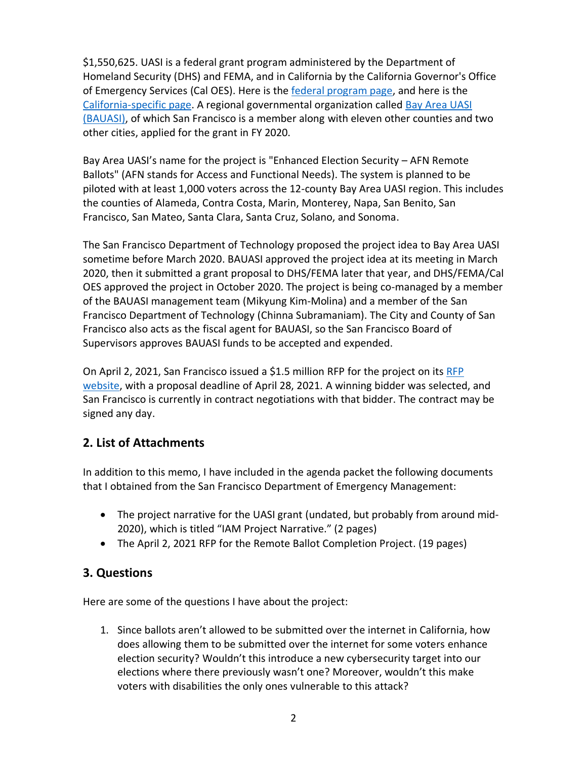\$1,550,625. UASI is a federal grant program administered by the Department of Homeland Security (DHS) and FEMA, and in California by the California Governor's Office of Emergency Services (Cal OES). Here is th[e federal program page,](https://www.homelandsecuritygrants.info/GrantDetails.aspx?gid=17162) and here is the [California-specific page.](https://www.homelandsecuritygrants.info/GrantDetails.aspx?gid=22126) A regional governmental organization called [Bay Area UASI](http://www.bayareauasi.org/)  [\(BAUASI\),](http://www.bayareauasi.org/) of which San Francisco is a member along with eleven other counties and two other cities, applied for the grant in FY 2020.

Bay Area UASI's name for the project is "Enhanced Election Security – AFN Remote Ballots" (AFN stands for Access and Functional Needs). The system is planned to be piloted with at least 1,000 voters across the 12-county Bay Area UASI region. This includes the counties of Alameda, Contra Costa, Marin, Monterey, Napa, San Benito, San Francisco, San Mateo, Santa Clara, Santa Cruz, Solano, and Sonoma.

The San Francisco Department of Technology proposed the project idea to Bay Area UASI sometime before March 2020. BAUASI approved the project idea at its meeting in March 2020, then it submitted a grant proposal to DHS/FEMA later that year, and DHS/FEMA/Cal OES approved the project in October 2020. The project is being co-managed by a member of the BAUASI management team (Mikyung Kim-Molina) and a member of the San Francisco Department of Technology (Chinna Subramaniam). The City and County of San Francisco also acts as the fiscal agent for BAUASI, so the San Francisco Board of Supervisors approves BAUASI funds to be accepted and expended.

On April 2, 2021, San Francisco issued a \$1.5 million RFP for the project on its [RFP](https://sfcitypartner.sfgov.org/)  [website,](https://sfcitypartner.sfgov.org/) with a proposal deadline of April 28, 2021. A winning bidder was selected, and San Francisco is currently in contract negotiations with that bidder. The contract may be signed any day.

# **2. List of Attachments**

In addition to this memo, I have included in the agenda packet the following documents that I obtained from the San Francisco Department of Emergency Management:

- The project narrative for the UASI grant (undated, but probably from around mid-2020), which is titled "IAM Project Narrative." (2 pages)
- The April 2, 2021 RFP for the Remote Ballot Completion Project. (19 pages)

# **3. Questions**

Here are some of the questions I have about the project:

1. Since ballots aren't allowed to be submitted over the internet in California, how does allowing them to be submitted over the internet for some voters enhance election security? Wouldn't this introduce a new cybersecurity target into our elections where there previously wasn't one? Moreover, wouldn't this make voters with disabilities the only ones vulnerable to this attack?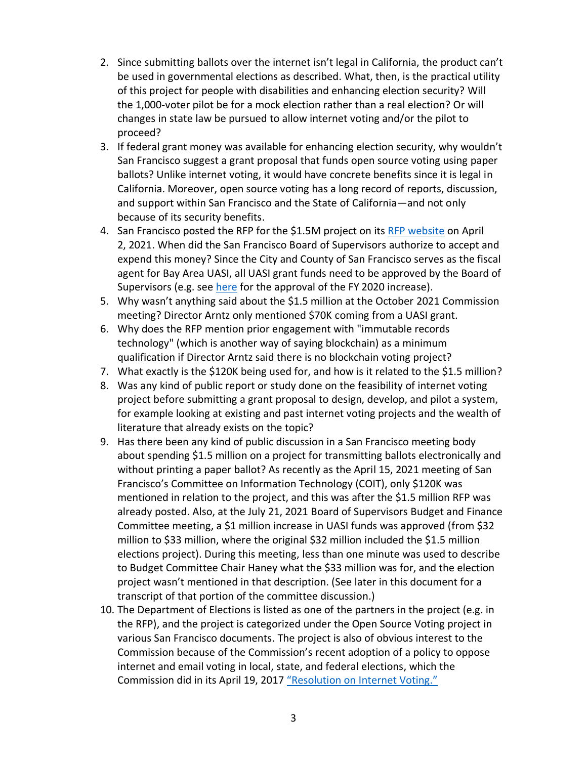- 2. Since submitting ballots over the internet isn't legal in California, the product can't be used in governmental elections as described. What, then, is the practical utility of this project for people with disabilities and enhancing election security? Will the 1,000-voter pilot be for a mock election rather than a real election? Or will changes in state law be pursued to allow internet voting and/or the pilot to proceed?
- 3. If federal grant money was available for enhancing election security, why wouldn't San Francisco suggest a grant proposal that funds open source voting using paper ballots? Unlike internet voting, it would have concrete benefits since it is legal in California. Moreover, open source voting has a long record of reports, discussion, and support within San Francisco and the State of California—and not only because of its security benefits.
- 4. San Francisco posted the RFP for the \$1.5M project on its [RFP website](https://sfcitypartner.sfgov.org/) on April 2, 2021. When did the San Francisco Board of Supervisors authorize to accept and expend this money? Since the City and County of San Francisco serves as the fiscal agent for Bay Area UASI, all UASI grant funds need to be approved by the Board of Supervisors (e.g. see [here](https://sfgov.legistar.com/LegislationDetail.aspx?ID=4982021&GUID=FCC4167D-4124-45A3-AA76-9EE2ED3BD6C2&Options=&Search=) for the approval of the FY 2020 increase).
- 5. Why wasn't anything said about the \$1.5 million at the October 2021 Commission meeting? Director Arntz only mentioned \$70K coming from a UASI grant.
- 6. Why does the RFP mention prior engagement with "immutable records technology" (which is another way of saying blockchain) as a minimum qualification if Director Arntz said there is no blockchain voting project?
- 7. What exactly is the \$120K being used for, and how is it related to the \$1.5 million?
- 8. Was any kind of public report or study done on the feasibility of internet voting project before submitting a grant proposal to design, develop, and pilot a system, for example looking at existing and past internet voting projects and the wealth of literature that already exists on the topic?
- 9. Has there been any kind of public discussion in a San Francisco meeting body about spending \$1.5 million on a project for transmitting ballots electronically and without printing a paper ballot? As recently as the April 15, 2021 meeting of San Francisco's Committee on Information Technology (COIT), only \$120K was mentioned in relation to the project, and this was after the \$1.5 million RFP was already posted. Also, at the July 21, 2021 Board of Supervisors Budget and Finance Committee meeting, a \$1 million increase in UASI funds was approved (from \$32 million to \$33 million, where the original \$32 million included the \$1.5 million elections project). During this meeting, less than one minute was used to describe to Budget Committee Chair Haney what the \$33 million was for, and the election project wasn't mentioned in that description. (See later in this document for a transcript of that portion of the committee discussion.)
- 10. The Department of Elections is listed as one of the partners in the project (e.g. in the RFP), and the project is categorized under the Open Source Voting project in various San Francisco documents. The project is also of obvious interest to the Commission because of the Commission's recent adoption of a policy to oppose internet and email voting in local, state, and federal elections, which the Commission did in its April 19, 2017 "[Resolution on Internet Voting.](https://sfgov.org/electionscommission/sites/default/files/Documents/resolutions/Elections_Comm_Internet_Voting_Res.pdf)"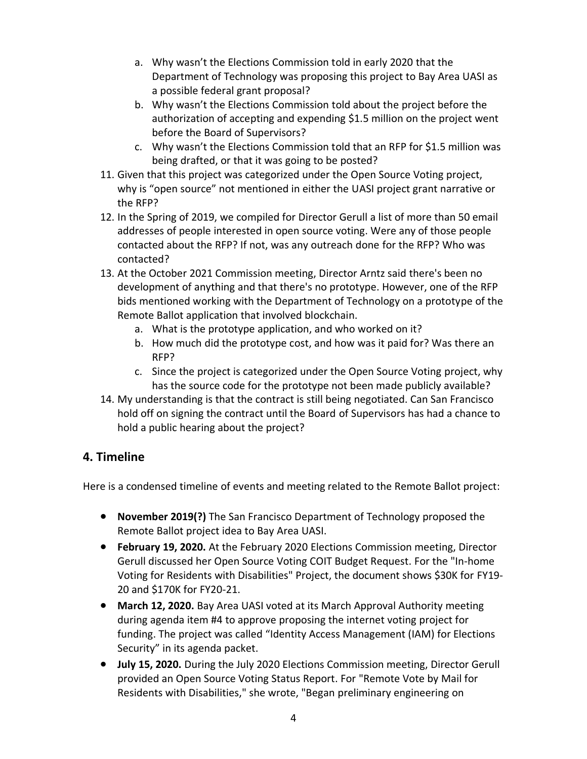- a. Why wasn't the Elections Commission told in early 2020 that the Department of Technology was proposing this project to Bay Area UASI as a possible federal grant proposal?
- b. Why wasn't the Elections Commission told about the project before the authorization of accepting and expending \$1.5 million on the project went before the Board of Supervisors?
- c. Why wasn't the Elections Commission told that an RFP for \$1.5 million was being drafted, or that it was going to be posted?
- 11. Given that this project was categorized under the Open Source Voting project, why is "open source" not mentioned in either the UASI project grant narrative or the RFP?
- 12. In the Spring of 2019, we compiled for Director Gerull a list of more than 50 email addresses of people interested in open source voting. Were any of those people contacted about the RFP? If not, was any outreach done for the RFP? Who was contacted?
- 13. At the October 2021 Commission meeting, Director Arntz said there's been no development of anything and that there's no prototype. However, one of the RFP bids mentioned working with the Department of Technology on a prototype of the Remote Ballot application that involved blockchain.
	- a. What is the prototype application, and who worked on it?
	- b. How much did the prototype cost, and how was it paid for? Was there an RFP?
	- c. Since the project is categorized under the Open Source Voting project, why has the source code for the prototype not been made publicly available?
- 14. My understanding is that the contract is still being negotiated. Can San Francisco hold off on signing the contract until the Board of Supervisors has had a chance to hold a public hearing about the project?

# **4. Timeline**

Here is a condensed timeline of events and meeting related to the Remote Ballot project:

- **November 2019(?)** The San Francisco Department of Technology proposed the Remote Ballot project idea to Bay Area UASI.
- **February 19, 2020.** At the February 2020 Elections Commission meeting, Director Gerull discussed her Open Source Voting COIT Budget Request. For the "In-home Voting for Residents with Disabilities" Project, the document shows \$30K for FY19- 20 and \$170K for FY20-21.
- **March 12, 2020.** Bay Area UASI voted at its March Approval Authority meeting during agenda item #4 to approve proposing the internet voting project for funding. The project was called "Identity Access Management (IAM) for Elections Security" in its agenda packet.
- **July 15, 2020.** During the July 2020 Elections Commission meeting, Director Gerull provided an Open Source Voting Status Report. For "Remote Vote by Mail for Residents with Disabilities," she wrote, "Began preliminary engineering on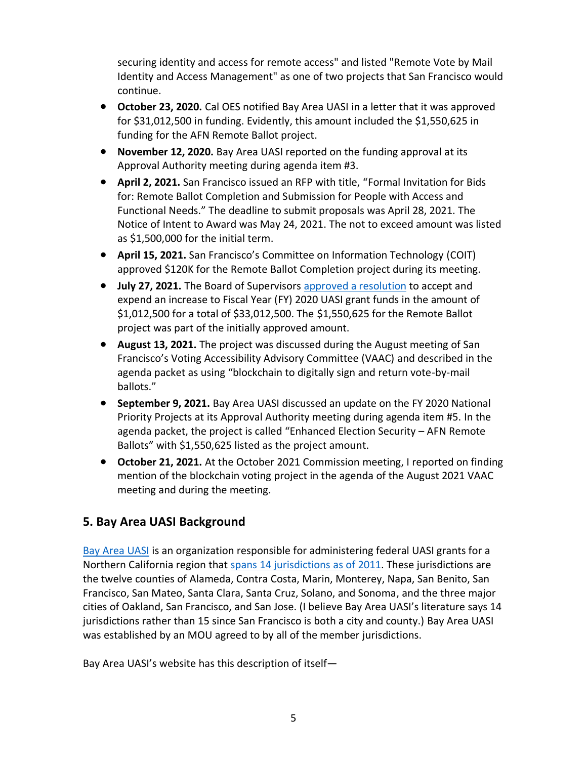securing identity and access for remote access" and listed "Remote Vote by Mail Identity and Access Management" as one of two projects that San Francisco would continue.

- **October 23, 2020.** Cal OES notified Bay Area UASI in a letter that it was approved for \$31,012,500 in funding. Evidently, this amount included the \$1,550,625 in funding for the AFN Remote Ballot project.
- **November 12, 2020.** Bay Area UASI reported on the funding approval at its Approval Authority meeting during agenda item #3.
- **April 2, 2021.** San Francisco issued an RFP with title, "Formal Invitation for Bids for: Remote Ballot Completion and Submission for People with Access and Functional Needs." The deadline to submit proposals was April 28, 2021. The Notice of Intent to Award was May 24, 2021. The not to exceed amount was listed as \$1,500,000 for the initial term.
- **April 15, 2021.** San Francisco's Committee on Information Technology (COIT) approved \$120K for the Remote Ballot Completion project during its meeting.
- **July 27, 2021.** The Board of Supervisors [approved a resolution](https://sfgov.legistar.com/LegislationDetail.aspx?ID=4982021&GUID=FCC4167D-4124-45A3-AA76-9EE2ED3BD6C2&Options=&Search=) to accept and expend an increase to Fiscal Year (FY) 2020 UASI grant funds in the amount of \$1,012,500 for a total of \$33,012,500. The \$1,550,625 for the Remote Ballot project was part of the initially approved amount.
- **August 13, 2021.** The project was discussed during the August meeting of San Francisco's Voting Accessibility Advisory Committee (VAAC) and described in the agenda packet as using "blockchain to digitally sign and return vote-by-mail ballots."
- **September 9, 2021.** Bay Area UASI discussed an update on the FY 2020 National Priority Projects at its Approval Authority meeting during agenda item #5. In the agenda packet, the project is called "Enhanced Election Security – AFN Remote Ballots" with \$1,550,625 listed as the project amount.
- **October 21, 2021.** At the October 2021 Commission meeting, I reported on finding mention of the blockchain voting project in the agenda of the August 2021 VAAC meeting and during the meeting.

# **5. Bay Area UASI Background**

[Bay Area UASI](http://www.bayareauasi.org/) is an organization responsible for administering federal UASI grants for a Northern California region that [spans 14 jurisdictions](http://www.bayareauasi.org/about-us) as of 2011. These jurisdictions are the twelve counties of Alameda, Contra Costa, Marin, Monterey, Napa, San Benito, San Francisco, San Mateo, Santa Clara, Santa Cruz, Solano, and Sonoma, and the three major cities of Oakland, San Francisco, and San Jose. (I believe Bay Area UASI's literature says 14 jurisdictions rather than 15 since San Francisco is both a city and county.) Bay Area UASI was established by an MOU agreed to by all of the member jurisdictions.

Bay Area UASI's website has this description of itself—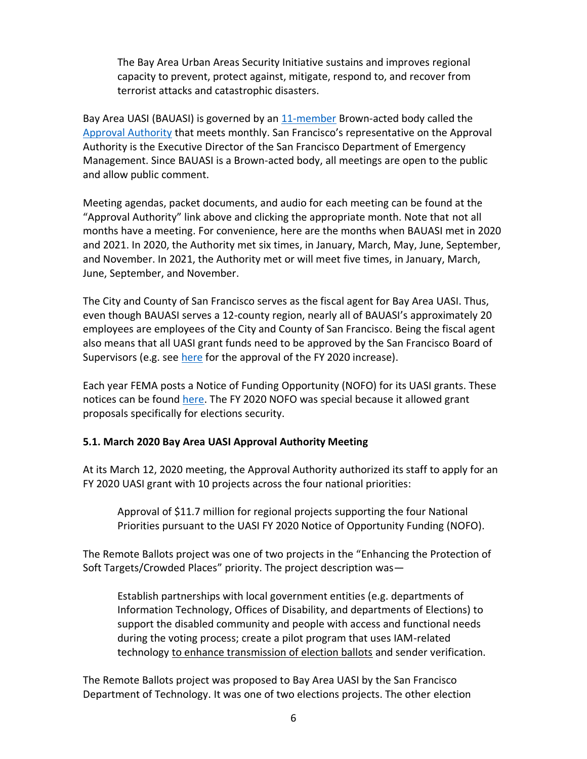The Bay Area Urban Areas Security Initiative sustains and improves regional capacity to prevent, protect against, mitigate, respond to, and recover from terrorist attacks and catastrophic disasters.

Bay Area UASI (BAUASI) is governed by an [11-member](http://www.bayareauasi.org/approval-authority/november#block-views-members-block-1) Brown-acted body called the [Approval Authority](http://www.bayareauasi.org/approval-authority/november) that meets monthly. San Francisco's representative on the Approval Authority is the Executive Director of the San Francisco Department of Emergency Management. Since BAUASI is a Brown-acted body, all meetings are open to the public and allow public comment.

Meeting agendas, packet documents, and audio for each meeting can be found at the "Approval Authority" link above and clicking the appropriate month. Note that not all months have a meeting. For convenience, here are the months when BAUASI met in 2020 and 2021. In 2020, the Authority met six times, in January, March, May, June, September, and November. In 2021, the Authority met or will meet five times, in January, March, June, September, and November.

The City and County of San Francisco serves as the fiscal agent for Bay Area UASI. Thus, even though BAUASI serves a 12-county region, nearly all of BAUASI's approximately 20 employees are employees of the City and County of San Francisco. Being the fiscal agent also means that all UASI grant funds need to be approved by the San Francisco Board of Supervisors (e.g. see [here](https://sfgov.legistar.com/LegislationDetail.aspx?ID=4982021&GUID=FCC4167D-4124-45A3-AA76-9EE2ED3BD6C2&Options=&Search=) for the approval of the FY 2020 increase).

Each year FEMA posts a Notice of Funding Opportunity (NOFO) for its UASI grants. These notices can be found [here.](https://www.fema.gov/media-collection/homeland-security-grant-notices-funding-opportunity) The FY 2020 NOFO was special because it allowed grant proposals specifically for elections security.

### **5.1. March 2020 Bay Area UASI Approval Authority Meeting**

At its March 12, 2020 meeting, the Approval Authority authorized its staff to apply for an FY 2020 UASI grant with 10 projects across the four national priorities:

Approval of \$11.7 million for regional projects supporting the four National Priorities pursuant to the UASI FY 2020 Notice of Opportunity Funding (NOFO).

The Remote Ballots project was one of two projects in the "Enhancing the Protection of Soft Targets/Crowded Places" priority. The project description was—

Establish partnerships with local government entities (e.g. departments of Information Technology, Offices of Disability, and departments of Elections) to support the disabled community and people with access and functional needs during the voting process; create a pilot program that uses IAM-related technology to enhance transmission of election ballots and sender verification.

The Remote Ballots project was proposed to Bay Area UASI by the San Francisco Department of Technology. It was one of two elections projects. The other election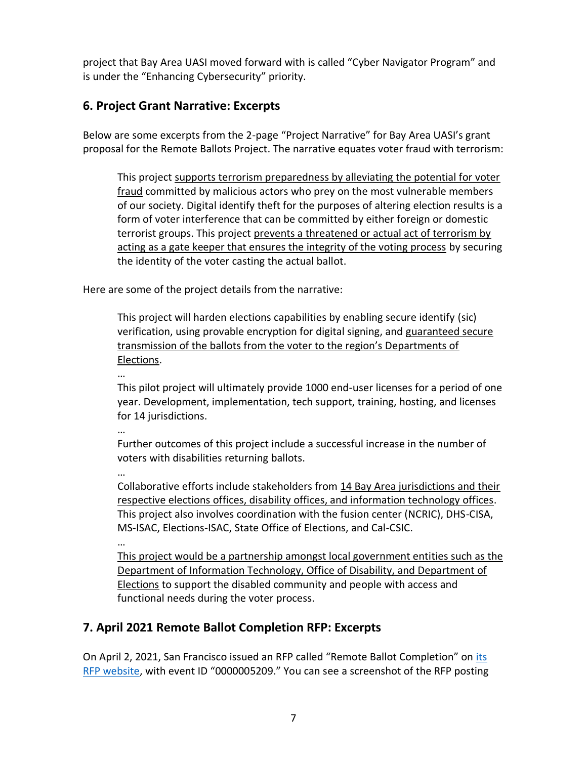project that Bay Area UASI moved forward with is called "Cyber Navigator Program" and is under the "Enhancing Cybersecurity" priority.

### **6. Project Grant Narrative: Excerpts**

Below are some excerpts from the 2-page "Project Narrative" for Bay Area UASI's grant proposal for the Remote Ballots Project. The narrative equates voter fraud with terrorism:

This project supports terrorism preparedness by alleviating the potential for voter fraud committed by malicious actors who prey on the most vulnerable members of our society. Digital identify theft for the purposes of altering election results is a form of voter interference that can be committed by either foreign or domestic terrorist groups. This project prevents a threatened or actual act of terrorism by acting as a gate keeper that ensures the integrity of the voting process by securing the identity of the voter casting the actual ballot.

Here are some of the project details from the narrative:

This project will harden elections capabilities by enabling secure identify (sic) verification, using provable encryption for digital signing, and guaranteed secure transmission of the ballots from the voter to the region's Departments of Elections.

This pilot project will ultimately provide 1000 end-user licenses for a period of one year. Development, implementation, tech support, training, hosting, and licenses for 14 jurisdictions.

…

…

Further outcomes of this project include a successful increase in the number of voters with disabilities returning ballots.

…

Collaborative efforts include stakeholders from 14 Bay Area jurisdictions and their respective elections offices, disability offices, and information technology offices. This project also involves coordination with the fusion center (NCRIC), DHS-CISA, MS-ISAC, Elections-ISAC, State Office of Elections, and Cal-CSIC.

…

This project would be a partnership amongst local government entities such as the Department of Information Technology, Office of Disability, and Department of Elections to support the disabled community and people with access and functional needs during the voter process.

# **7. April 2021 Remote Ballot Completion RFP: Excerpts**

On April 2, 2021, San Francisco issued an RFP called "Remote Ballot Completion" on [its](https://sfcitypartner.sfgov.org/)  [RFP website](https://sfcitypartner.sfgov.org/), with event ID "0000005209." You can see a screenshot of the RFP posting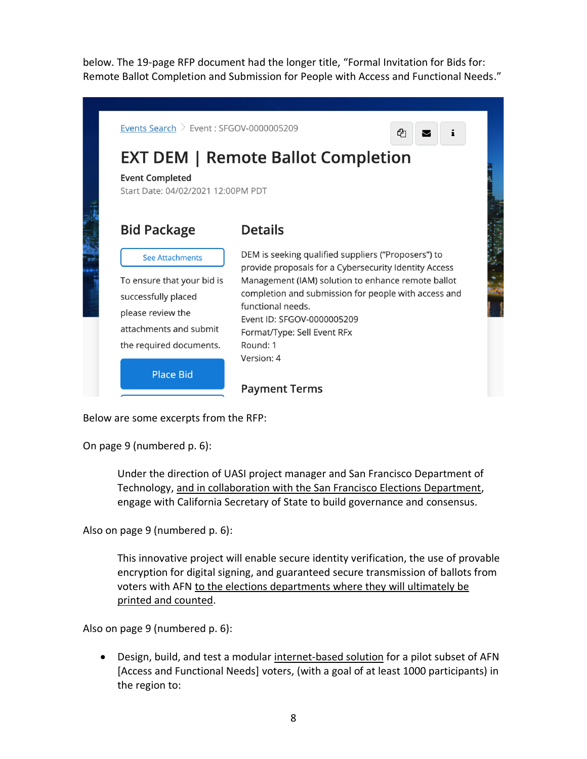below. The 19-page RFP document had the longer title, "Formal Invitation for Bids for: Remote Ballot Completion and Submission for People with Access and Functional Needs."



Below are some excerpts from the RFP:

On page 9 (numbered p. 6):

Under the direction of UASI project manager and San Francisco Department of Technology, and in collaboration with the San Francisco Elections Department, engage with California Secretary of State to build governance and consensus.

Also on page 9 (numbered p. 6):

This innovative project will enable secure identity verification, the use of provable encryption for digital signing, and guaranteed secure transmission of ballots from voters with AFN to the elections departments where they will ultimately be printed and counted.

Also on page 9 (numbered p. 6):

• Design, build, and test a modular internet-based solution for a pilot subset of AFN [Access and Functional Needs] voters, (with a goal of at least 1000 participants) in the region to: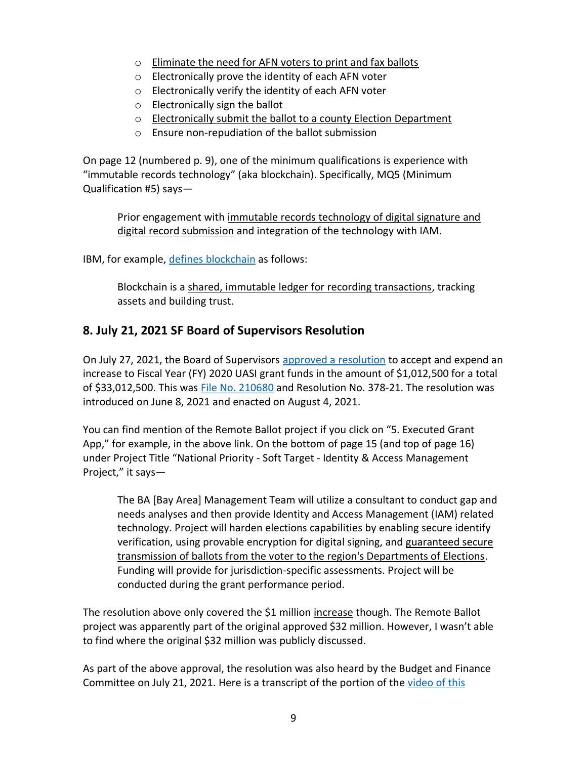- o Eliminate the need for AFN voters to print and fax ballots
- o Electronically prove the identity of each AFN voter
- o Electronically verify the identity of each AFN voter
- o Electronically sign the ballot
- o Electronically submit the ballot to a county Election Department
- o Ensure non-repudiation of the ballot submission

On page 12 (numbered p. 9), one of the minimum qualifications is experience with "immutable records technology" (aka blockchain). Specifically, MQ5 (Minimum Qualification #5) says—

Prior engagement with immutable records technology of digital signature and digital record submission and integration of the technology with IAM.

IBM, for example, [defines blockchain](https://www.ibm.com/topics/what-is-blockchain) as follows:

Blockchain is a shared, immutable ledger for recording transactions, tracking assets and building trust.

# **8. July 21, 2021 SF Board of Supervisors Resolution**

On July 27, 2021, the Board of Supervisors [approved a resolution](https://sfgov.legistar.com/LegislationDetail.aspx?ID=4982021&GUID=FCC4167D-4124-45A3-AA76-9EE2ED3BD6C2&Options=&Search=) to accept and expend an increase to Fiscal Year (FY) 2020 UASI grant funds in the amount of \$1,012,500 for a total of \$33,012,500. This was [File No. 210680](https://sfgov.legistar.com/LegislationDetail.aspx?ID=4982021&GUID=FCC4167D-4124-45A3-AA76-9EE2ED3BD6C2&Options=&Search=) and Resolution No. 378-21. The resolution was introduced on June 8, 2021 and enacted on August 4, 2021.

You can find mention of the Remote Ballot project if you click on "5. Executed Grant App," for example, in the above link. On the bottom of page 15 (and top of page 16) under Project Title "National Priority - Soft Target - Identity & Access Management Project," it says—

The BA [Bay Area] Management Team will utilize a consultant to conduct gap and needs analyses and then provide Identity and Access Management (IAM) related technology. Project will harden elections capabilities by enabling secure identify verification, using provable encryption for digital signing, and guaranteed secure transmission of ballots from the voter to the region's Departments of Elections. Funding will provide for jurisdiction-specific assessments. Project will be conducted during the grant performance period.

The resolution above only covered the \$1 million increase though. The Remote Ballot project was apparently part of the original approved \$32 million. However, I wasn't able to find where the original \$32 million was publicly discussed.

As part of the above approval, the resolution was also heard by the Budget and Finance Committee on July 21, 2021. Here is a transcript of the portion of the [video of this](http://sanfrancisco.granicus.com/player/clip/39028?view_id=10&meta_id=887856&redirect=true)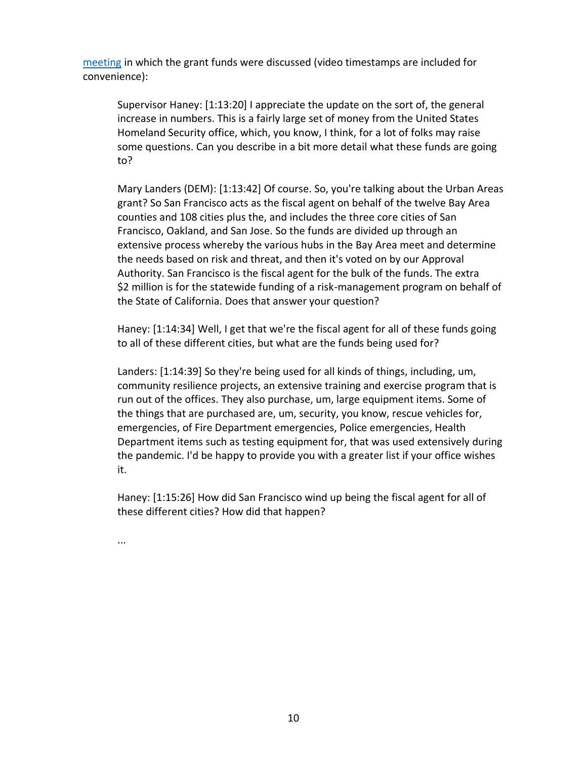[meeting](http://sanfrancisco.granicus.com/player/clip/39028?view_id=10&meta_id=887856&redirect=true) in which the grant funds were discussed (video timestamps are included for convenience):

Supervisor Haney: [1:13:20] I appreciate the update on the sort of, the general increase in numbers. This is a fairly large set of money from the United States Homeland Security office, which, you know, I think, for a lot of folks may raise some questions. Can you describe in a bit more detail what these funds are going to?

Mary Landers (DEM): [1:13:42] Of course. So, you're talking about the Urban Areas grant? So San Francisco acts as the fiscal agent on behalf of the twelve Bay Area counties and 108 cities plus the, and includes the three core cities of San Francisco, Oakland, and San Jose. So the funds are divided up through an extensive process whereby the various hubs in the Bay Area meet and determine the needs based on risk and threat, and then it's voted on by our Approval Authority. San Francisco is the fiscal agent for the bulk of the funds. The extra \$2 million is for the statewide funding of a risk-management program on behalf of the State of California. Does that answer your question?

Haney: [1:14:34] Well, I get that we're the fiscal agent for all of these funds going to all of these different cities, but what are the funds being used for?

Landers: [1:14:39] So they're being used for all kinds of things, including, um, community resilience projects, an extensive training and exercise program that is run out of the offices. They also purchase, um, large equipment items. Some of the things that are purchased are, um, security, you know, rescue vehicles for, emergencies, of Fire Department emergencies, Police emergencies, Health Department items such as testing equipment for, that was used extensively during the pandemic. I'd be happy to provide you with a greater list if your office wishes it.

Haney: [1:15:26] How did San Francisco wind up being the fiscal agent for all of these different cities? How did that happen?

...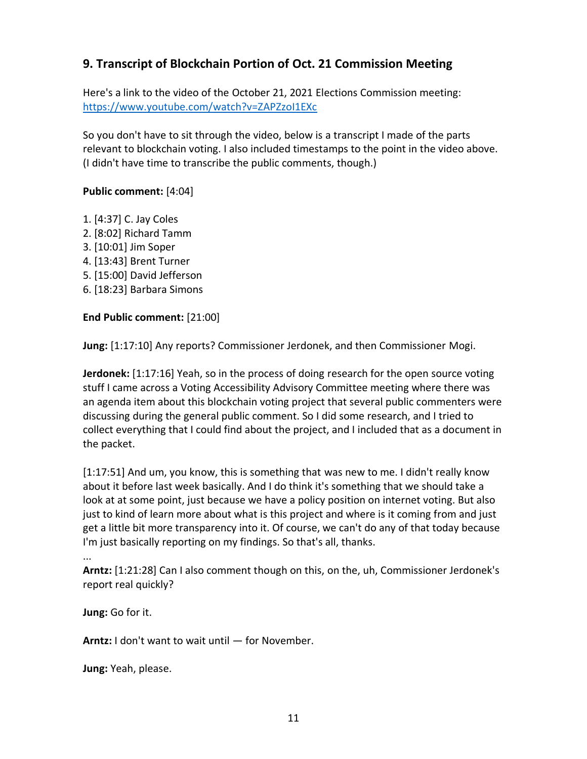# **9. Transcript of Blockchain Portion of Oct. 21 Commission Meeting**

Here's a link to the video of the October 21, 2021 Elections Commission meeting: <https://www.youtube.com/watch?v=ZAPZzoI1EXc>

So you don't have to sit through the video, below is a transcript I made of the parts relevant to blockchain voting. I also included timestamps to the point in the video above. (I didn't have time to transcribe the public comments, though.)

### **Public comment:** [4:04]

- 1. [4:37] C. Jay Coles
- 2. [8:02] Richard Tamm
- 3. [10:01] Jim Soper
- 4. [13:43] Brent Turner
- 5. [15:00] David Jefferson
- 6. [18:23] Barbara Simons

#### **End Public comment:** [21:00]

**Jung:** [1:17:10] Any reports? Commissioner Jerdonek, and then Commissioner Mogi.

**Jerdonek:** [1:17:16] Yeah, so in the process of doing research for the open source voting stuff I came across a Voting Accessibility Advisory Committee meeting where there was an agenda item about this blockchain voting project that several public commenters were discussing during the general public comment. So I did some research, and I tried to collect everything that I could find about the project, and I included that as a document in the packet.

[1:17:51] And um, you know, this is something that was new to me. I didn't really know about it before last week basically. And I do think it's something that we should take a look at at some point, just because we have a policy position on internet voting. But also just to kind of learn more about what is this project and where is it coming from and just get a little bit more transparency into it. Of course, we can't do any of that today because I'm just basically reporting on my findings. So that's all, thanks.

```
...
```
**Arntz:** [1:21:28] Can I also comment though on this, on the, uh, Commissioner Jerdonek's report real quickly?

**Jung:** Go for it.

**Arntz:** I don't want to wait until — for November.

**Jung:** Yeah, please.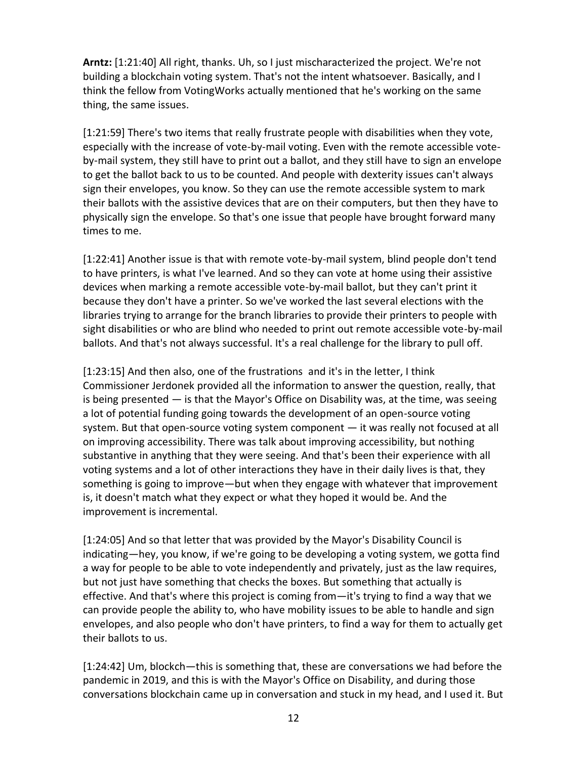**Arntz:** [1:21:40] All right, thanks. Uh, so I just mischaracterized the project. We're not building a blockchain voting system. That's not the intent whatsoever. Basically, and I think the fellow from VotingWorks actually mentioned that he's working on the same thing, the same issues.

[1:21:59] There's two items that really frustrate people with disabilities when they vote, especially with the increase of vote-by-mail voting. Even with the remote accessible voteby-mail system, they still have to print out a ballot, and they still have to sign an envelope to get the ballot back to us to be counted. And people with dexterity issues can't always sign their envelopes, you know. So they can use the remote accessible system to mark their ballots with the assistive devices that are on their computers, but then they have to physically sign the envelope. So that's one issue that people have brought forward many times to me.

[1:22:41] Another issue is that with remote vote-by-mail system, blind people don't tend to have printers, is what I've learned. And so they can vote at home using their assistive devices when marking a remote accessible vote-by-mail ballot, but they can't print it because they don't have a printer. So we've worked the last several elections with the libraries trying to arrange for the branch libraries to provide their printers to people with sight disabilities or who are blind who needed to print out remote accessible vote-by-mail ballots. And that's not always successful. It's a real challenge for the library to pull off.

[1:23:15] And then also, one of the frustrations and it's in the letter, I think Commissioner Jerdonek provided all the information to answer the question, really, that is being presented — is that the Mayor's Office on Disability was, at the time, was seeing a lot of potential funding going towards the development of an open-source voting system. But that open-source voting system component — it was really not focused at all on improving accessibility. There was talk about improving accessibility, but nothing substantive in anything that they were seeing. And that's been their experience with all voting systems and a lot of other interactions they have in their daily lives is that, they something is going to improve—but when they engage with whatever that improvement is, it doesn't match what they expect or what they hoped it would be. And the improvement is incremental.

[1:24:05] And so that letter that was provided by the Mayor's Disability Council is indicating—hey, you know, if we're going to be developing a voting system, we gotta find a way for people to be able to vote independently and privately, just as the law requires, but not just have something that checks the boxes. But something that actually is effective. And that's where this project is coming from—it's trying to find a way that we can provide people the ability to, who have mobility issues to be able to handle and sign envelopes, and also people who don't have printers, to find a way for them to actually get their ballots to us.

[1:24:42] Um, blockch—this is something that, these are conversations we had before the pandemic in 2019, and this is with the Mayor's Office on Disability, and during those conversations blockchain came up in conversation and stuck in my head, and I used it. But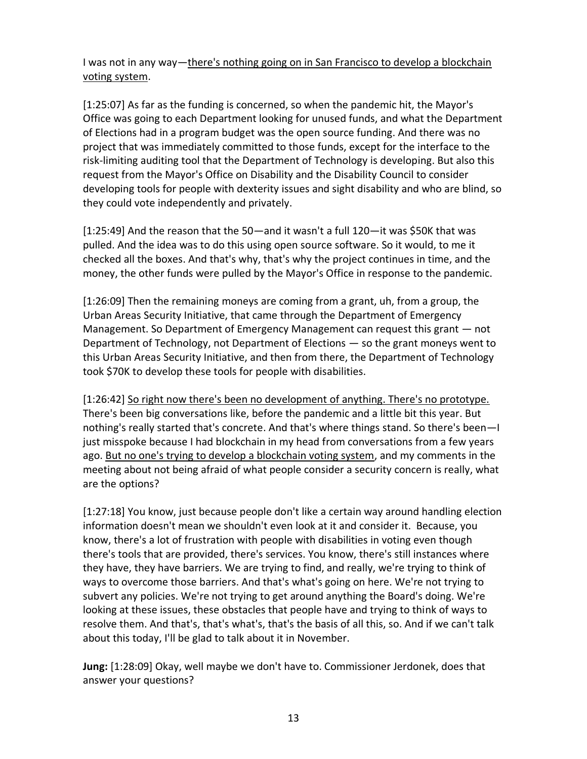I was not in any way—there's nothing going on in San Francisco to develop a blockchain voting system.

[1:25:07] As far as the funding is concerned, so when the pandemic hit, the Mayor's Office was going to each Department looking for unused funds, and what the Department of Elections had in a program budget was the open source funding. And there was no project that was immediately committed to those funds, except for the interface to the risk-limiting auditing tool that the Department of Technology is developing. But also this request from the Mayor's Office on Disability and the Disability Council to consider developing tools for people with dexterity issues and sight disability and who are blind, so they could vote independently and privately.

[1:25:49] And the reason that the 50—and it wasn't a full 120—it was \$50K that was pulled. And the idea was to do this using open source software. So it would, to me it checked all the boxes. And that's why, that's why the project continues in time, and the money, the other funds were pulled by the Mayor's Office in response to the pandemic.

[1:26:09] Then the remaining moneys are coming from a grant, uh, from a group, the Urban Areas Security Initiative, that came through the Department of Emergency Management. So Department of Emergency Management can request this grant — not Department of Technology, not Department of Elections — so the grant moneys went to this Urban Areas Security Initiative, and then from there, the Department of Technology took \$70K to develop these tools for people with disabilities.

[1:26:42] So right now there's been no development of anything. There's no prototype. There's been big conversations like, before the pandemic and a little bit this year. But nothing's really started that's concrete. And that's where things stand. So there's been—I just misspoke because I had blockchain in my head from conversations from a few years ago. But no one's trying to develop a blockchain voting system, and my comments in the meeting about not being afraid of what people consider a security concern is really, what are the options?

[1:27:18] You know, just because people don't like a certain way around handling election information doesn't mean we shouldn't even look at it and consider it. Because, you know, there's a lot of frustration with people with disabilities in voting even though there's tools that are provided, there's services. You know, there's still instances where they have, they have barriers. We are trying to find, and really, we're trying to think of ways to overcome those barriers. And that's what's going on here. We're not trying to subvert any policies. We're not trying to get around anything the Board's doing. We're looking at these issues, these obstacles that people have and trying to think of ways to resolve them. And that's, that's what's, that's the basis of all this, so. And if we can't talk about this today, I'll be glad to talk about it in November.

**Jung:** [1:28:09] Okay, well maybe we don't have to. Commissioner Jerdonek, does that answer your questions?